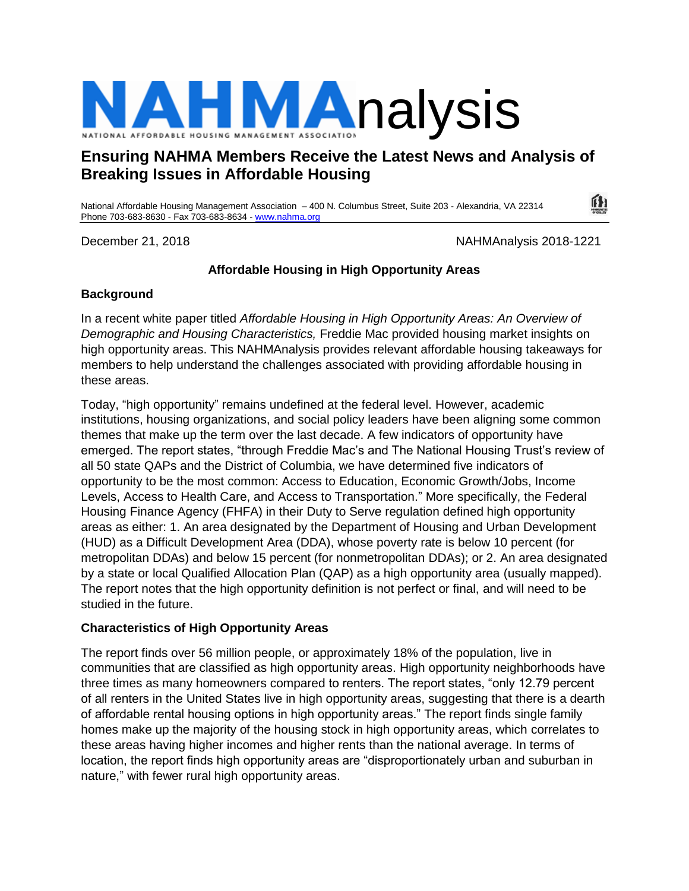

# **Ensuring NAHMA Members Receive the Latest News and Analysis of Breaking Issues in Affordable Housing**

National Affordable Housing Management Association – 400 N. Columbus Street, Suite 203 - Alexandria, VA 22314 Phone 703-683-8630 - Fax 703-683-8634 - [www.nahma.org](http://www.nahma.org/)

December 21, 2018 NAHMAnalysis 2018-1221

íH

## **Affordable Housing in High Opportunity Areas**

#### **Background**

In a recent white paper titled *Affordable Housing in High Opportunity Areas: An Overview of Demographic and Housing Characteristics,* Freddie Mac provided housing market insights on high opportunity areas. This NAHMAnalysis provides relevant affordable housing takeaways for members to help understand the challenges associated with providing affordable housing in these areas.

Today, "high opportunity" remains undefined at the federal level. However, academic institutions, housing organizations, and social policy leaders have been aligning some common themes that make up the term over the last decade. A few indicators of opportunity have emerged. The report states, "through Freddie Mac's and The National Housing Trust's review of all 50 state QAPs and the District of Columbia, we have determined five indicators of opportunity to be the most common: Access to Education, Economic Growth/Jobs, Income Levels, Access to Health Care, and Access to Transportation." More specifically, the Federal Housing Finance Agency (FHFA) in their Duty to Serve regulation defined high opportunity areas as either: 1. An area designated by the Department of Housing and Urban Development (HUD) as a Difficult Development Area (DDA), whose poverty rate is below 10 percent (for metropolitan DDAs) and below 15 percent (for nonmetropolitan DDAs); or 2. An area designated by a state or local Qualified Allocation Plan (QAP) as a high opportunity area (usually mapped). The report notes that the high opportunity definition is not perfect or final, and will need to be studied in the future.

### **Characteristics of High Opportunity Areas**

The report finds over 56 million people, or approximately 18% of the population, live in communities that are classified as high opportunity areas. High opportunity neighborhoods have three times as many homeowners compared to renters. The report states, "only 12.79 percent of all renters in the United States live in high opportunity areas, suggesting that there is a dearth of affordable rental housing options in high opportunity areas." The report finds single family homes make up the majority of the housing stock in high opportunity areas, which correlates to these areas having higher incomes and higher rents than the national average. In terms of location, the report finds high opportunity areas are "disproportionately urban and suburban in nature," with fewer rural high opportunity areas.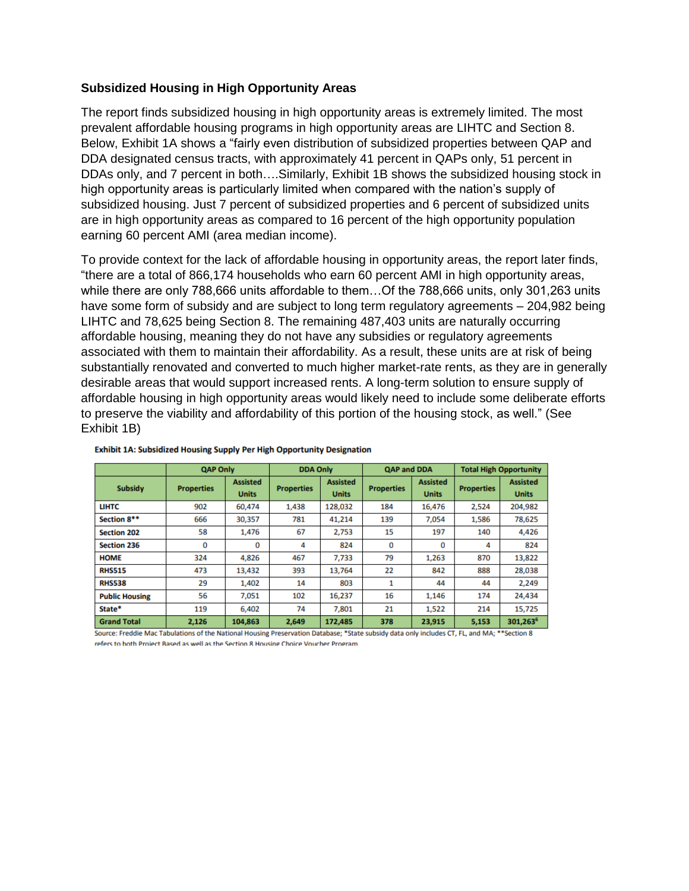#### **Subsidized Housing in High Opportunity Areas**

The report finds subsidized housing in high opportunity areas is extremely limited. The most prevalent affordable housing programs in high opportunity areas are LIHTC and Section 8. Below, Exhibit 1A shows a "fairly even distribution of subsidized properties between QAP and DDA designated census tracts, with approximately 41 percent in QAPs only, 51 percent in DDAs only, and 7 percent in both….Similarly, Exhibit 1B shows the subsidized housing stock in high opportunity areas is particularly limited when compared with the nation's supply of subsidized housing. Just 7 percent of subsidized properties and 6 percent of subsidized units are in high opportunity areas as compared to 16 percent of the high opportunity population earning 60 percent AMI (area median income).

To provide context for the lack of affordable housing in opportunity areas, the report later finds, "there are a total of 866,174 households who earn 60 percent AMI in high opportunity areas, while there are only 788,666 units affordable to them…Of the 788,666 units, only 301,263 units have some form of subsidy and are subject to long term regulatory agreements – 204,982 being LIHTC and 78,625 being Section 8. The remaining 487,403 units are naturally occurring affordable housing, meaning they do not have any subsidies or regulatory agreements associated with them to maintain their affordability. As a result, these units are at risk of being substantially renovated and converted to much higher market-rate rents, as they are in generally desirable areas that would support increased rents. A long-term solution to ensure supply of affordable housing in high opportunity areas would likely need to include some deliberate efforts to preserve the viability and affordability of this portion of the housing stock, as well." (See Exhibit 1B)

|                                | <b>QAP Only</b>   |                                 | <b>DDA Only</b>   |                                 | <b>QAP and DDA</b> |                                 | <b>Total High Opportunity</b> |                                 |
|--------------------------------|-------------------|---------------------------------|-------------------|---------------------------------|--------------------|---------------------------------|-------------------------------|---------------------------------|
| Subsidy                        | <b>Properties</b> | <b>Assisted</b><br><b>Units</b> | <b>Properties</b> | <b>Assisted</b><br><b>Units</b> | <b>Properties</b>  | <b>Assisted</b><br><b>Units</b> | <b>Properties</b>             | <b>Assisted</b><br><b>Units</b> |
| <b>LIHTC</b>                   | 902               | 60,474                          | 1.438             | 128,032                         | 184                | 16,476                          | 2,524                         | 204,982                         |
| Section 8**                    | 666               | 30,357                          | 781               | 41,214                          | 139                | 7.054                           | 1,586                         | 78,625                          |
| <b>Section 202</b>             | 58                | 1,476                           | 67                | 2.753                           | 15                 | 197                             | 140                           | 4,426                           |
| <b>Section 236</b>             | 0                 | 0                               | 4                 | 824                             | 0                  | 0                               | 4                             | 824                             |
| <b>HOME</b>                    | 324               | 4,826                           | 467               | 7,733                           | 79                 | 1,263                           | 870                           | 13,822                          |
| <b>RHS515</b>                  | 473               | 13,432                          | 393               | 13.764                          | 22                 | 842                             | 888                           | 28,038                          |
| <b>RHS538</b>                  | 29                | 1.402                           | 14                | 803                             |                    | 44                              | 44                            | 2.249                           |
| <b>Public Housing</b>          | 56                | 7,051                           | 102               | 16,237                          | 16                 | 1,146                           | 174                           | 24,434                          |
| State*                         | 119               | 6,402                           | 74                | 7,801                           | 21                 | 1,522                           | 214                           | 15,725                          |
| <b>Grand Total</b><br>-  -- -- | 2,126             | 104,863                         | 2,649             | 172,485                         | 378                | 23,915                          | 5,153                         | 301,263 <sup>6</sup>            |

#### Exhibit 1A: Subsidized Housing Supply Per High Opportunity Designation

Source: Freddie Mac Tabulations of the National Housing Preservation Database; \*State subsidy data only includes CT, FL, and MA; \*\*Section 8 refers to both Project Based as well as the Section 8 Housing Choice Voucher Program